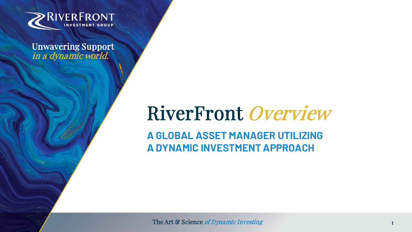

Unwavering Support in a dynamic world.

# RiverFront Overview

**A GLOBAL ASSET MANAGER UTILIZING A DYNAMIC INVESTMENT APPROACH**

The Art & Science of Dynamic Investing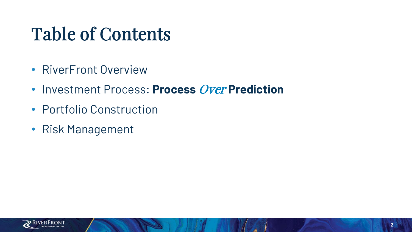# Table of Contents

- RiverFront Overview
- Investment Process: **Process** Over **Prediction**
- Portfolio Construction
- Risk Management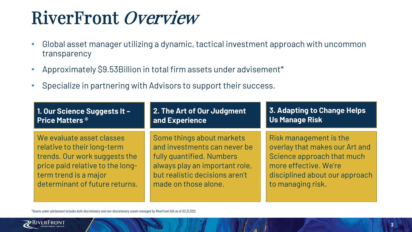# RiverFront Overview

- Global asset manager utilizing a dynamic, tactical investment approach with uncommon transparency
- Approximately \$9.53Billion in total firm assets under advisement\*
- Specialize in partnering with Advisors to support their success.

| 1. Our Science Suggests It -     | 2. The Art of Our Judgment     | 3. Adapting to Change Helps    |  |  |  |
|----------------------------------|--------------------------------|--------------------------------|--|--|--|
| Price Matters <sup>®</sup>       | and Experience                 | Us Manage Risk                 |  |  |  |
| We evaluate asset classes        | Some things about markets      | Risk management is the         |  |  |  |
| relative to their long-term      | and investments can never be   | overlay that makes our Art and |  |  |  |
| trends. Our work suggests the    | fully quantified. Numbers      | Science approach that much     |  |  |  |
| price paid relative to the long- | always play an important role, | more effective. We're          |  |  |  |
| term trend is a major            | but realistic decisions aren't | disciplined about our approach |  |  |  |
| determinant of future returns.   | made on those alone.           | to managing risk.              |  |  |  |

*\*Assets under advisement includes both discretionary and non-discretionary assets managed by RiverFront AUA as of 03.31.2022.*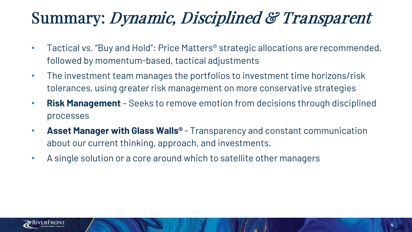## Summary: Dynamic, Disciplined & Transparent

- Tactical vs. "Buy and Hold": Price Matters® strategic allocations are recommended, followed by momentum-based, tactical adjustments
- The investment team manages the portfolios to investment time horizons/risk tolerances, using greater risk management on more conservative strategies
- **Risk Management**  Seeks to remove emotion from decisions through disciplined processes
- **Asset Manager with Glass Walls®**  Transparency and constant communication about our current thinking, approach, and investments.
- A single solution or a core around which to satellite other managers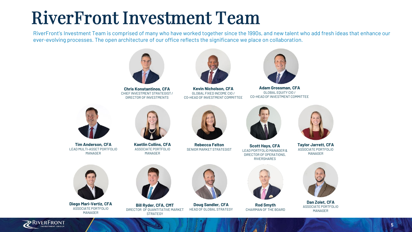## RiverFront Investment Team

RiverFront's Investment Team is comprised of many who have worked together since the 1990s, and new talent who add fresh ideas that enhance our ever-evolving processes. The open architecture of our office reflects the significance we place on collaboration.



**Chris Konstantinos, CFA** CHIEF INVESTMENT STRATEGIST / DIRECTOR OF INVESTMENTS



**Kevin Nicholson, CFA** GLOBAL FIXED INCOME CIO / CO-HEAD OF INVESTMENT COMMITTEE



**Adam Grossman, CFA** GLOBAL EQUITY CIO / CO-HEAD OF INVESTMENT COMMITTEE



**Tim Anderson, CFA** LEAD MULTI-ASSET PORTFOLIO MANAGER



**Kaetlin Collins, CFA** ASSOCIATE PORTFOLIO MANAGER



**Rebecca Felton** SENIOR MARKET STRATEGIST



**Scott Hays, CFA** LEAD PORTFOLIO MANAGER & DIRECTOR OF OPERATIONS, RIVERSHARES



**Rod Smyth** CHAIRMAN OF THE BOARD



**Taylor Jarrett, CFA** ASSOCIATE PORTFOLIO MANAGER



**Dan Zolet, CFA** ASSOCIATE PORTFOLIO MANAGER



**Diego Mari-Vertiz, CFA** ASSOCIATE PORTFOLIO MANAGER



**Bill Ryder, CFA, CMT** DIRECTOR OF QUANTITATIVE MARKET **STRATEGY** 



**Doug Sandler, CFA** HEAD OF GLOBAL STRATEGY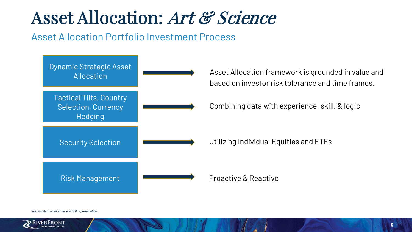# Asset Allocation: Art & Science

## Asset Allocation Portfolio Investment Process



#### *See important notes at the end of this presentation.*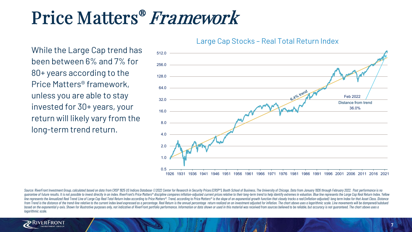## Price Matters® Framework

While the Large Cap trend has been between 6% and 7% for 80+ years according to the Price Matters® framework, unless you are able to stay invested for 30+ years, your return will likely vary from the long-term trend return.

### Large Cap Stocks – Real Total Return Index



Source: RiverFront Investment Group, calculated based on data from CRSP 1925 US Indices Database ©2022 Center for Research in Security Prices (CRSP®), Booth School of Business, The University of Chicago. Data from January quarantee of future results. It is not possible to invest directly in an index. RiverFront's Price Matters® discipline compares inflation-adjusted current prices relative to their long-term trend to help identify extremes line represents the Annualized Real Trend Line of Large Cap Real Total Return Index according to Price Matters®. Trend, according to Price Matters® is the slope of an exponential growth function that closely tracks a real from Trend is the distance of the trend-line relative to the current index level expressed as a percentage. Real Return is the annual percentage return realized on an investment adjusted for inflation. The chart above uses based on the exponential v-axis. Shown for illustrative purposes only, not indicative of RiverFront portfolio performance. Information or data shown or used in this material was received from sources believed to be reliabl *logarithmic scale.*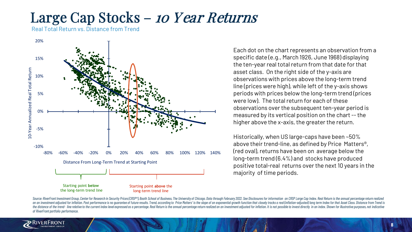## Large Cap Stocks – 10 Year Returns

Real Total Return vs. Distance from Trend



Each dot on the chart represents an observation from a specific date (e.g., March 1926, June 1968) displaying the ten-year real total return from that date for that asset class. On the right side of the y-axis are observations with prices above the long-term trend line (prices were high), while left of the y-axis shows periods with prices below the long-term trend (prices were low). The total return for each of these observations over the subsequent ten-year period is measured by its vertical position on the chart --the higher above the x-axis, the greater the return.

Historically, when US large-caps have been ~50% above their trend-line, as defined by Price Matters®, (red oval), returns have been on average below the long-term trend (6.4%) and stocks have produced positive total-real returns over the next 10 years in the majority of time periods.

Source: RiverFront Investment Group, Center for Research in Security Prices (CRSP®), Booth School of Business, The University of Chicago. Data through February 2022. See Disclosures for information on CRSP Large Cap Index. on an investment adjusted for inflation. Past performance is no quarantee of future results. Trend, according to Price Matters® is the slope of an exponential growth function that closely tracks a real (inflation-adjusted) the distance of the trend- line relative to the current index level expressed as a percentage. Real Return is the annual percentage return realized on an investment adjusted for inflation. It is not possible to invest dire *of RiverFront portfolio performance.*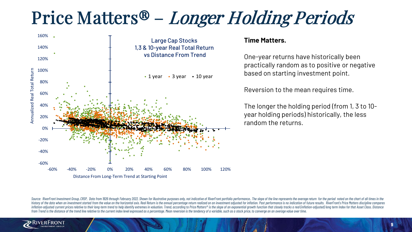# Price Matters® – Longer Holding Periods



### **Time Matters.**

One-year returns have historically been practically random as to positive or negative based on starting investment point.

Reversion to the mean requires time.

The longer the holding period (from 1, 3 to 10 year holding periods) historically, the less random the returns.

Source: RiverFront Investment Group, CRSP, Data from 1926 through February 2022. Shown for illustrative purposes only, not indicative of RiverFront portfolio performance.. The slope of the line represents the average retur history of the data when an investment started from the value on the horizontal axis. Real Return is the annual percentage return realized on an investment adiusted for inflation. Past performance is no indication of futur inflation-adjusted current prices relative to their long-term trend to help identify extremes in valuation. Trend, according to Price Matters® is the slope of an exponential growth function that closely tracks a real (infl from Trend is the distance of the trend line relative to the current index level expressed as a percentage. Mean reversion is the tendency of a variable, such as a stock price, to converge on an average value over time.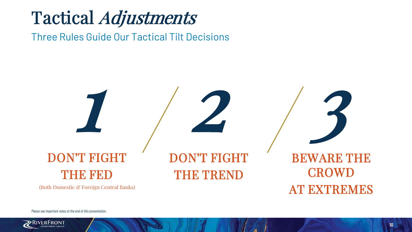# Tactical Adjustments

Three Rules Guide Our Tactical Tilt Decisions



*Please see important notes at the end of this presentation.*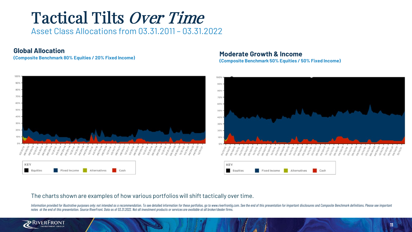## Tactical Tilts Over Time

Asset Class Allocations from 03.31.2011 – 03.31.2022

### **Global Allocation**



### **(Composite Benchmark 80% Equities / 20% Fixed Income) Moderate Growth & Income**

**(Composite Benchmark 50% Equities / 50% Fixed Income)**



### The charts shown are examples of how various portfolios will shift tactically over time.

Information provided for illustrative purposes only; not intended as a recommendation. To see detailed information for these portfolios, go to www.riverfrontig.com. See the end of this presentation for important disclosure *notes at the end of this presentation. Source RiverFront. Data as of 03.31.2022. Not all investment products or services are available at all broker/dealer firms.* 

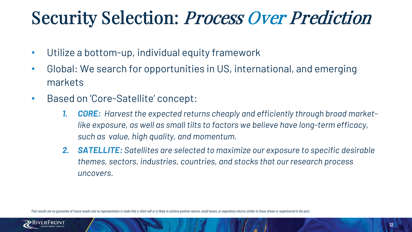# Security Selection: Process Over Prediction

- Utilize a bottom-up, individual equity framework
- Global: We search for opportunities in US, international, and emerging markets
- Based on 'Core-Satellite' concept:
	- *1. CORE: Harvest the expected returns cheaply and efficiently through broad marketlike exposure, as well as small tilts to factors we believe have long-term efficacy, such as value, high quality, and momentum.*
	- *2. SATELLITE: Satellites are selected to maximize our exposure to specific desirable themes, sectors, industries, countries, and stocks that our research process uncovers.*

Past results are no quarantee of future results and no representation is made that a client will or is likely to achieve positive returns, avoid losses, or experience returns similar to those shown or experienced in the pa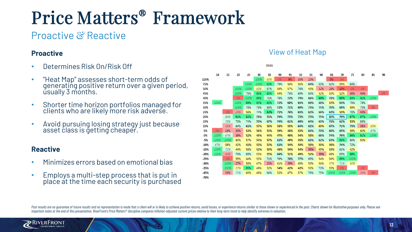## Price Matters® Framework

## Proactive & Reactive

### **Proactive**

- Determines Risk On/Risk Off
- "Heat Map" assesses short-term odds of generating positive return over a given period, usually 3 months.
- Shorter time horizon portfolios managed for clients who are likely more risk adverse.
- Avoid pursuing losing strategy just because asset class is getting cheaper.

### **Reactive**

- Minimizes errors based on emotional bias
- Employs a multi-step process that is put in place at the time each security is purchased

### View of Heat Map

|        |      |      |      |      |      | Odds |     |     |     |     |     |      |      |      |     |       |    |
|--------|------|------|------|------|------|------|-----|-----|-----|-----|-----|------|------|------|-----|-------|----|
|        | 10   | 15   | 20   | 25   | 30   | 35   | 40  | 45  | 50  | 55  | 60  | 65   | 70   | 75   | 80  | 85    | 90 |
| 120%   |      |      |      |      | 100% | 60%  | 0%  | 9%  | 33% | 23% |     | 0%   | 0%   |      |     |       |    |
| 75%    |      |      |      | 100% | 100% | 92%  | 79% | 50% | 55% | 64% | 60% | 62%  | 59%  | 64%  |     |       |    |
| 50%    |      |      | 100% | 100% | 60%  | 67%  | 54% | 57% | 76% | 43% | 32% | 28%  | 15%  | 0%   | 0%  |       |    |
| 45%    |      |      | 100% | 75%  | 86%  | 81%  | 54% | 75% | 69% | 63% | 52% | 53%  | 52%  | 30%  | 40% |       | 0% |
| 40%    |      |      | 0%   | 100% | 88%  | 71%  | 78% | 72% | 74% | 66% | 80% | 71%  | 85%  | 83%  | 92% | 100%  |    |
| 35%    | 100% |      | 100% | 89%  | 84%  | 83%  | 72% | 68% | 65% | 69% | 68% | 57%  | 65%  | 75%  | 78% |       |    |
| 30%    |      |      | 100% | 78%  | 79%  | 69%  | 72% | 71% | 69% | 75% | 75% | 70%  | 69%  | 59%  | 70% | 0%    |    |
| 25%    |      | 0%   | 25%  | 56%  | 74%  | 82%  | 71% | 76% | 65% | 63% | 66% | 64%  | 55%  | 70%  | 40% |       |    |
| 20%    |      | 80%  | 91%  | 82%  | 78%  | 71%  | 74% | 73% | 73% | 73% | 75% | 80%  | 79%  | 87%  | 87% | 100%  |    |
| 15%    |      | 75%  | 70%  | 74%  | 70%  | 67%  | 74% | 61% | 60% | 64% | 63% | 71%  | 62%  | 53%  | 65% |       |    |
| 10%    |      | 40%  | 64%  | 61%  | 57%  | 58%  | 58% | 55% | 64% | 61% | 60% | 67%  | 71%  | 75%  | 38% | 60%   |    |
| 5%     | 0%   | 23%  | 30%  | 52%  | 56%  | 55%  | 59% | 48% | 53% | 63% | 70% | 66%  | 65%  | 59%  | 60% | 67%   |    |
| 0%     | 100% | 67%  | 39%  | 52%  | 49%  | 44%  | 47% | 40% | 54% | 58% | 66% | 74%  | 76%  | 86%  | 91% | 100%  |    |
| $-5%$  | 100% | 100% | 60%  | 57%  | 54%  | 57%  | 62% | 49% | 45% | 61% | 62% | 63%  | 83%  | 80%  | 50% |       |    |
| $-10%$ | 67%  | 58%  | 42%  | 41%  | 53%  | 53%  | 62% | 54% | 54% | 50% | 50% | 56%  | 74%  | 72%  |     |       |    |
| $-15%$ | 100% | 71%  | 44%  | 56%  | 52%  | 50%  | 48% | 54% | 54% | 35% | 47% | 53%  | 61%  | 42%  |     |       |    |
| $-20%$ | 100% | 40%  | 70%  | 65%  | 53%  | 55%  | 64% | 51% | 49% | 52% | 39% | 49%  | 65%  | 88%  |     |       |    |
| $-25%$ |      | 0%   | 55%  | 44%  | 53%  | 71%  | 76% | 78% | 77% | 65% | 54% | 54%  | 89%  | 100% |     |       |    |
| $-30%$ |      | 100% | 27%  | 56%  | 47%  | 20%  | 41% | 39% | 45% | 50% | 54% | 57%  | 71%  | 50%  |     |       |    |
| $-35%$ |      | 100% | 57%  | 85%  | 49%  | 52%  | 54% | 42% | 42% | 53% | 72% | 55%  | 0%   |      | 0%  |       |    |
| $-45%$ |      | 33%  | 71%  | 60%  | 46%  | 64%  | 52% | 47% | 57% | 76% | 75% | 100% | 100% | 100% | 25% | $O\%$ |    |
| $-70%$ |      |      |      |      |      |      |     |     |     |     |     |      |      |      |     |       |    |

Past results are no guarantee of future results and no representation is made that a client will or is likely to achieve positive returns, avoid losses, or experience returns similar to those shown or experienced in the pa *important notes at the end of this presentation. RiverFront's Price Matters® discipline compares inflation-adjusted current prices relative to their long-term trend to help identify extremes in valuation.*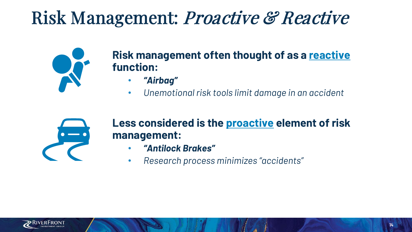# Risk Management: Proactive & Reactive



## **Risk management often thought of as a reactive function:**

- *"Airbag"*
- *Unemotional risk tools limit damage in an accident*



## **Less considered is the proactive element of risk management:**

- *"Antilock Brakes"*
- *Research process minimizes "accidents"*

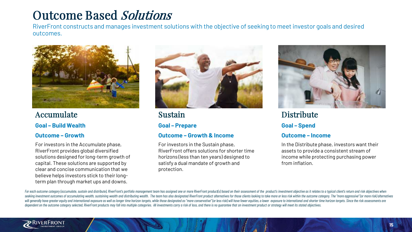## Outcome Based Solutions

RiverFront constructs and manages investment solutions with the objective of seeking to meet investor goals and desired outcomes.



### Accumulate

**Goal – Build Wealth** 

### **Outcome – Growth**

For investors in the Accumulate phase, RiverFront provides global diversified solutions designed for long-term growth of capital. These solutions are supported by clear and concise communication that we believe helps investors stick to their longterm plan through market ups and downs.



Sustain

### **Goal – Prepare**

### **Outcome – Growth & Income**

For investors in the Sustain phase, RiverFront offers solutions for shorter time horizons (less than ten years) designed to satisfy a dual mandate of growth and protection.



### **Distribute Goal – Spend**

### **Outcome – Income**

In the Distribute phase, investors want their assets to provide a consistent stream of income while protecting purchasing power from inflation.

For each outcome category (accumulate, sustain and distribute), RiverFront's portfolio management team has assigned one or more RiverFront product(s) based on their assessment of the product's investment objective as it re seeking investment outcomes of accumulating wealth, sustaining wealth and distributing wealth. The team has also designated RiverFront product alternatives for those clients looking to take more or less risk within the out will generally have greater equity and international exposure as well as longer time horizon targets, while those designated as "more conservative" (or less risk) will have fewer equities, a lower exposure to international dependent on the outcome category selected, RiverFront products may fall into multiple categories. All investments carry a risk of loss, and there is no quarantee that an investment product or strategy will meet its stated

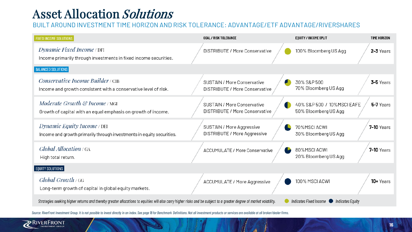## Asset Allocation Solutions

### BUILT AROUND INVESTMENT TIME HORIZON AND RISK TOLERANCE: ADVANTAGE/ETF ADVANTAGE/RIVERSHARES

| <b>FIXED INCOME SOLUTIONS</b>                                                                                                                                       | <b>GOAL / RISK TOLERANCE</b>                                  | EQUITY / INCOME SPLIT                               | <b>TIME HORIZON</b> |
|---------------------------------------------------------------------------------------------------------------------------------------------------------------------|---------------------------------------------------------------|-----------------------------------------------------|---------------------|
| <i>Dynamic Fixed Income</i> / DFI<br>Income primarily through investments in fixed income securities.                                                               | DISTRIBUTE / More Conservative                                | 100% Bloomberg US Agg                               | 2-3 Years           |
| <b>BALANCED SOLUTIONS</b>                                                                                                                                           |                                                               |                                                     |                     |
| Conservative Income Builder / CIB<br>Income and growth consistent with a conservative level of risk.                                                                | SUSTAIN / More Conservative<br>DISTRIBUTE / More Conservative | 30% S&P 500<br>70% Bloomberg US Agg                 | 3-5 Years           |
| <i>Moderate Growth &amp; Income</i> / MGI<br>Growth of capital with an equal emphasis on growth of income.                                                          | SUSTAIN / More Conservative<br>DISTRIBUTE / More Conservative | 40% S&P 500 / 10% MSCI EAFE<br>50% Bloomberg US Agg | 5-7 Years           |
| <i>Dynamic Equity Income</i> / DEI<br>Income and growth primarily through investments in equity securities.                                                         | SUSTAIN / More Aggressive<br>DISTRIBUTE / More Aggressive     | 70%MSCIACWI<br>30% Bloomberg US Agg                 | <b>7-10 Years</b>   |
| Global Allocation / GA<br>High total return.                                                                                                                        | <b>ACCUMULATE / More Conservative</b>                         | 80%MSCI ACWI<br>20% Bloomberg US Agg                | <b>7-10</b> Years   |
| EQUITY SOLUTIONS                                                                                                                                                    |                                                               |                                                     |                     |
| $Global$ Growth / GG<br>Long-term growth of capital in global equity markets.                                                                                       | ACCUMULATE / More Aggressive                                  | 100% MSCI ACWI                                      | 10+ Years           |
| Strategies seeking higher returns and thereby greater allocations to equities will also carry higher risks and be subject to a greater degree of market volatility. |                                                               | Indicates Fixed Income $\bigcirc$ Indicates Equity  |                     |

Source: RiverFront Investment Group. It is not possible to invest directly in an index. See page 18 for Benchmark Definitions. Not all investment products or services are available at all broker/dealer firms.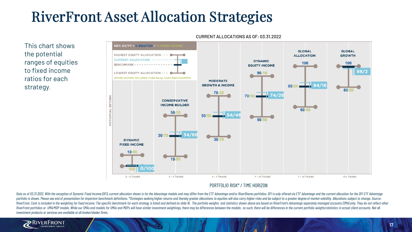## RiverFront Asset Allocation Strategies

This chart shows the potential ranges of equities to fixed income ratios for each strategy.



#### CURRENT ALLOCATIONS AS OF: 03.31.2022

#### PORTFOLIO RISK\* / TIME HORIZON

Data as of 03.31.2022. With the exception of Dynamic Fixed Income (DFI), current allocation shown is for the Advantage models and may differ from the ETF Advantage and/or RiverShares portfolios. DFI is only offered via ETF portfolio is shown. Please see end of presentation for important benchmark definitions. \*Strategies seeking higher returns and thereby greater allocations to equities will also carry higher risks and be subject to a greate RiverFront. Cash is included in the weighting for fixed income. The specific benchmark for each strategy is listed and defined on slide 16. The portfolio weights and statistics shown above are based on RiverFront's Advanta RiverFront portfolios or UMA/MDP models. While our SMAs and models for UMAs and MDPs will have similar investment weightings, there may be differences between the models; as such, there will be differences in the current p *investment products or services are available at all broker/dealer firms.* 

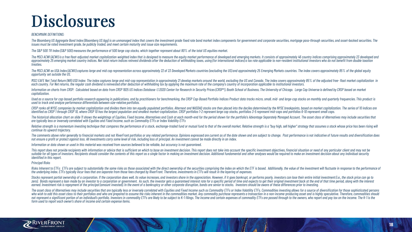## Disclosures

#### *BENCHMARK DEFINITIONS:*

The Bloomberg US Aggregate Bond Index (Bloomberg US Agg) is an unmanaged index that covers the investment grade fixed rate bond market index components for government and corporate securities, mortagge pass-through securit *issues must be rated investment grade, be publicly traded, and meet certain maturity and issue size requirements.* 

*The S&P 500 TR Index (S&P 500) measures the performance of 500 large cap stocks, which together represent about 80% of the total US equities market.* 

The MSCI ACWI (ACWI) is a free float-adjusted market capitalization weighted index that is designed to measure the equity market performance of developed and emerging markets. It consists of approximately 46 country indice approximately 25 emerging market country indices. Net total return indices reinvest dividends after the deduction of withholding taxes, using (for international indices) a tax rate applicable to non-resident institutional *treaties.* 

The MSCI ACWI ex USA Index (ACWX) captures large and mid cap representation across approximately 22 of 23 Developed Markets countries (excluding the US) and approximately 25 Emerging Markets countries. The index covers app *opportunity set outside the US.* 

MSCI EAFE Net Total Return (NR) USD Index: The index captures large and mid-cap representation in approximately 21 develop markets around the world, excluding the US and Canada. The index covers approximately 85% of the ad each country. For Net returns, the regular cash dividend is reinvested after deduction of withholding tax by applying the maximum rate of the company's country of incorporation applicable to institutional investors.

Information on charts from CRSP: Calculated based on data from CRSP 1925 US Indices Database ©2020 Center for Research in Security Prices (CRSP®). Booth School of Business. The University of Chicago. Large Cap Universe is *capitalization.*

Used as a source for cap-based portfolio research appearing in publications, and by practitioners for benchmarking, the CRSP Cap-Based Portfolio Indices Product data tracks micro, small, mid- and large-cap stocks on monthl *used to track and analyze performance differentials between size-relative portfolios.* 

CRSP ranks all NYSE companies by market capitalization and divides them into ten equally populated portfolios. Alternext and NASDAQ stocks are then placed into the deciles determined by the NYSE breakpoints, based on marke identified as CRSP 1 through CRSP 10, where CRSP 10 has the largest population and smallest market-capitalization. CRSP portfolios 1-2 represent large cap stocks, portfolios 3-5 represent mid-caps and portfolios 6-10 repre

The historical allocation chart on slide 11 shows the weightings of Eauities, Fixed Income, Alternatives and Cash at each month-end for the period shown for the portfolio's Advantage Separately Managed Account. The asset c *are typically less or inversely correlated with Equities and Fixed Income, such as Commodity ETFs or Index Volatility ETFs*

Relative strength is a momentum investing technique that compares the performance of a stock, exchange-traded fund or mutual fund to that of the overall market. Relative strength is a "buy high, sell higher" strategy that *continue its upward trajectory.*

The comments above refer generally to financial markets and not RiverFront portfolios or any related performance. Opinions expressed are current as of the date shown and are subject to change. Past performance is not indic *not ensure a profit or protect against loss. All investments carry some level of risk, including loss of principal. An investment cannot be made directly in an index.* 

*Information or data shown or used in this material was received from sources believed to be reliable, but accuracy is not guaranteed.* 

This report does not provide recipients with information or advice that is sufficient on which to base an investment decision. This report does not take into account the specific investment objectives, financial situation suitable for all types of investors. Recipients should consider the contents of this report as a single factor in making an investment decision. Additional fundamental and other analyses would be required to make an invest *identified in this report.* 

#### *Principal Risks*

Risks Inherent to ETFs: ETFs are subject to substantially the same risks as those associated with the direct ownership of the securities comprising the index on which the ETF is based. Additionally, the value of the invest *the underlying index. ETFs typically incur fees that are separate from those fees charged by RiverFront. Therefore, investments in ETFs will result in the layering of expenses.*

Stocks represent partial ownership of a corporation. If the corporation does well, its value increases, and investors share in the appreciation. However, if it goes bankrupt, or performs poorly, investors can lose their en

The asset class of Alternatives may include securities that are typically less or inversely correlated with Equities and Fixed Income such as Commodity ETFs or Index Volatility ETFs. Commodities investing allows for a sour who wish to add this asset class to their portfolios and who are prepared to assume the risks inherent in the commodities market. Any commodity purchase represents a transaction in a non-income-producing asset and is highl not represent a significant portion of an individual's portfolio. Investors in commodity ETFs are likely to be subject to K-1 filings. The income and certain expenses of commodity ETFs are passed through to the owners, who *form used to report each owner's share of income and certain expense items.* 

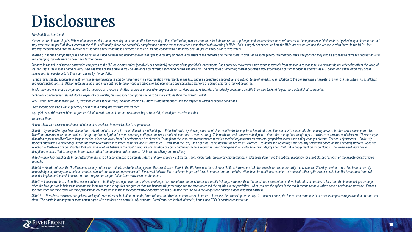## Disclosures

#### *Principal Risks Continued*

Master Limited Partnership (MLP) investing includes risks such as equity- and commodity-like volatility. Also, distribution payouts sometimes include the return of principal and, in these instances, references to these pay may overstate the profitability/success of the MLP. Additionally, there are potentially complex and adverse tax consequences associated with investing in MLPs. This is largely dependent on how the MLPs are structured and t *strongly recommended that an investor consider and understand these characteristics of MLPs and consult with a financial and tax professional prior to investment.*

Investina in foreian companies poses additional risks since political and economic events unique to a country or reaion may affect those markets and their issuers. In addition to such aeneral international risks, the portf *and emerging markets risks as described further below.* 

Changes in the value of foreign currencies compared to the U.S. dollar may affect (positively or negatively) the value of the portfolio's investments. Such currency movements may occur separately from, and/or in response t the security in the issuer's home country. Also, the value of the portfolio may be influenced by currency exchange control reaulations. The currencies of emerging market countries may experience significant declines agains *subsequent to investments in these currencies by the portfolio.* 

Foreign investments, especially investments in emerging markets, can be riskier and more volatile than investments in the U.S. and are considered speculative and subject to heightened risks in addition to the general risks *and rapid fluctuations in inflation rates have had, and may continue to have, negative effects on the economies and securities markets of certain emerging market countries.*

Small, mid- and micro-cap companies may be hindered as a result of limited resources or less diverse products or services and have therefore historically been more volatile than the stocks of larger, more established compa

*Technology and Internet-related stocks, especially of smaller, less-seasoned companies, tend to be more volatile than the overall market.*

*Real Estate Investment Trusts (REITs) investing entails special risks, including credit risk, interest rate fluctuations and the impact of varied economic conditions.*

*Fixed Income Securities' value generally declines in a rising interest rate environment.*

- *High-yield securities are subject to greater risk of loss of principal and interest, including default risk, than higher-rated securities.*
- *Important Notes*

*Please follow your firm's compliance policies and procedures in use with clients or prospects.*

Slide 6 — Dynamic Strategic Asset Allocation — RiverFront starts with its asset allocation methodology — Price Matters®. By viewing each asset class relative to its long-term historical trend line, along with expected retu RiverFront investment team determines the appropriate weighting for each class depending on the return and risk tolerance of each strategy. This mathematical process is designed to determine the optimal weightings to maxim allocation represents RiverFront's largest tactical allocation away from its performance benchmarks. Throughout the year, the investment team makes tactical adjustments as markets, geopolitical events and policy changes di markets and world events change during the year; RiverFront's investment team will use its three rules - Don't fight the Fed, Don't fight the Frend, Beware the Crowd at Extremes - to adjust the weightings and security sele Selection – Portfolios are constructed that combine what we believe is the most attractive combination of equity and fixed-income securities. Risk Management – Finally, RiverFront deploys constant risk management on its po *disciplined process that is designed to remove emotion from decisions, yetconfronts risk both proactively and reactively.*

Slide 7 - RiverFront applies its Price Matters® analysis to all asset classes to calculate return and downside risk estimates. Then, RiverFront's proprietary mathematical model helps determine the optimal allocation for as *annually.* 

Slide 10 – RiverFront uses the "Fed" to describe any nation's or region's central banking system (Federal Reserve Bank in the US, European Central Bank [ECB] in Eurozone, etc.). The investment team primarily focuses on the acknowledges a primary trend, unless technical support and resistance levels are hit. RiverFront believes the trend is an important force in momentum for markets. When investor sentiment reaches extremes of either optimism *consider implementing decisions that attempt to protect the portfolios from a reversion to the mean.*

Slide 11 – These two charts show that our portfolios are tactically managed over time. When the blue portion was above the benchmark, our equity holdings were less than the benchmark percentage and we had reduced equities When the blue portion is below the benchmark, it means that our equities are greater than the benchmark percentage and we have increased the equities in the portfolios. When you see the spikes in the red, it means we have *see that when we raise cash, we raise proportionately more cash in the more conservative Moderate Growth & Income than we do in the longer time horizon Global Allocation portfolio.* 

Slide 12 – RiverFront portfolios comprise a variety of asset classes, including domestic, international, and fixed income markets. In order to increase the ownership percentage in one asset class, the investment team needs *class. The portfolio management teams must agree with conviction on portfolio adjustments. RiverFront uses individual stocks, bonds, and ETFs in portfolio construction.*